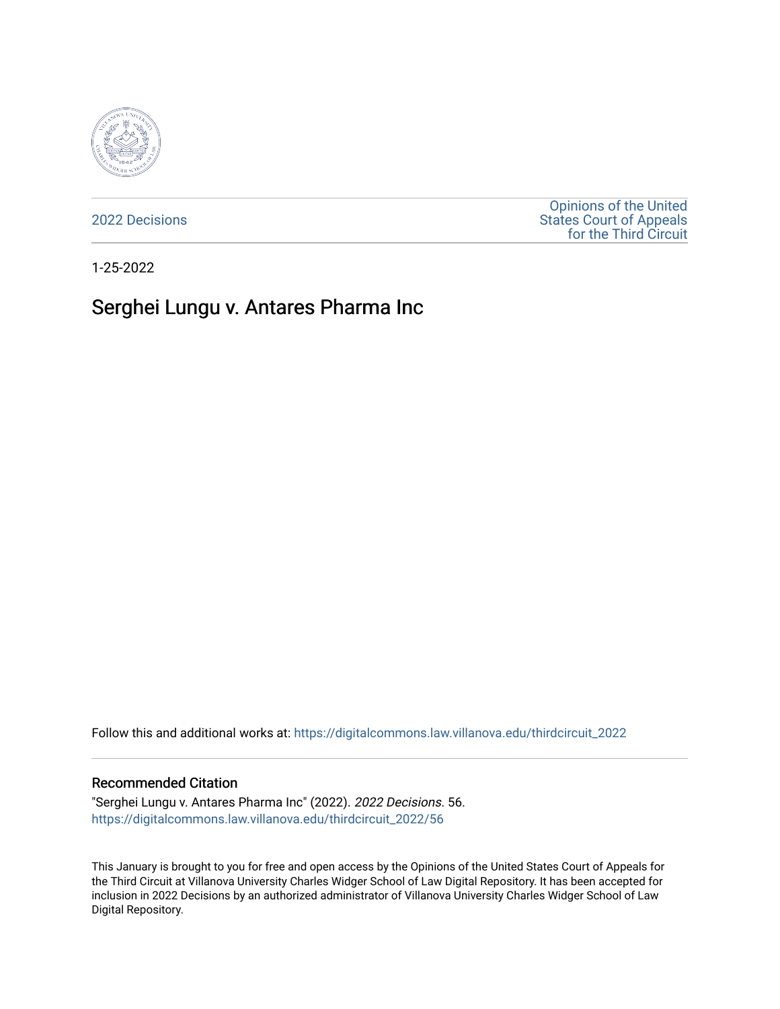

[2022 Decisions](https://digitalcommons.law.villanova.edu/thirdcircuit_2022)

[Opinions of the United](https://digitalcommons.law.villanova.edu/thirdcircuit)  [States Court of Appeals](https://digitalcommons.law.villanova.edu/thirdcircuit)  [for the Third Circuit](https://digitalcommons.law.villanova.edu/thirdcircuit) 

1-25-2022

# Serghei Lungu v. Antares Pharma Inc

Follow this and additional works at: [https://digitalcommons.law.villanova.edu/thirdcircuit\\_2022](https://digitalcommons.law.villanova.edu/thirdcircuit_2022?utm_source=digitalcommons.law.villanova.edu%2Fthirdcircuit_2022%2F56&utm_medium=PDF&utm_campaign=PDFCoverPages) 

#### Recommended Citation

"Serghei Lungu v. Antares Pharma Inc" (2022). 2022 Decisions. 56. [https://digitalcommons.law.villanova.edu/thirdcircuit\\_2022/56](https://digitalcommons.law.villanova.edu/thirdcircuit_2022/56?utm_source=digitalcommons.law.villanova.edu%2Fthirdcircuit_2022%2F56&utm_medium=PDF&utm_campaign=PDFCoverPages)

This January is brought to you for free and open access by the Opinions of the United States Court of Appeals for the Third Circuit at Villanova University Charles Widger School of Law Digital Repository. It has been accepted for inclusion in 2022 Decisions by an authorized administrator of Villanova University Charles Widger School of Law Digital Repository.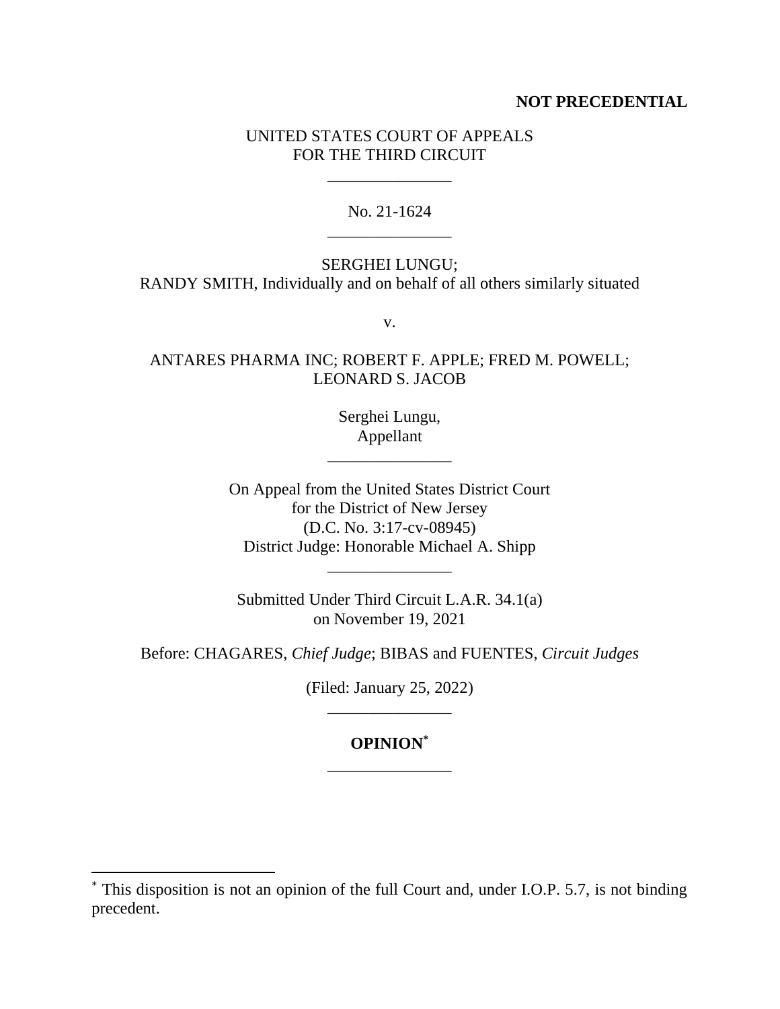# **NOT PRECEDENTIAL**

# UNITED STATES COURT OF APPEALS FOR THE THIRD CIRCUIT

\_\_\_\_\_\_\_\_\_\_\_\_\_\_\_

No. 21-1624 \_\_\_\_\_\_\_\_\_\_\_\_\_\_\_

SERGHEI LUNGU; RANDY SMITH, Individually and on behalf of all others similarly situated

v.

ANTARES PHARMA INC; ROBERT F. APPLE; FRED M. POWELL; LEONARD S. JACOB

> Serghei Lungu, Appellant

\_\_\_\_\_\_\_\_\_\_\_\_\_\_\_

On Appeal from the United States District Court for the District of New Jersey (D.C. No. 3:17-cv-08945) District Judge: Honorable Michael A. Shipp

Submitted Under Third Circuit L.A.R. 34.1(a) on November 19, 2021

\_\_\_\_\_\_\_\_\_\_\_\_\_\_\_

Before: CHAGARES, *Chief Judge*; BIBAS and FUENTES, *Circuit Judges*

(Filed: January 25, 2022) \_\_\_\_\_\_\_\_\_\_\_\_\_\_\_

# **OPINION\*** \_\_\_\_\_\_\_\_\_\_\_\_\_\_\_

<sup>\*</sup> This disposition is not an opinion of the full Court and, under I.O.P. 5.7, is not binding precedent.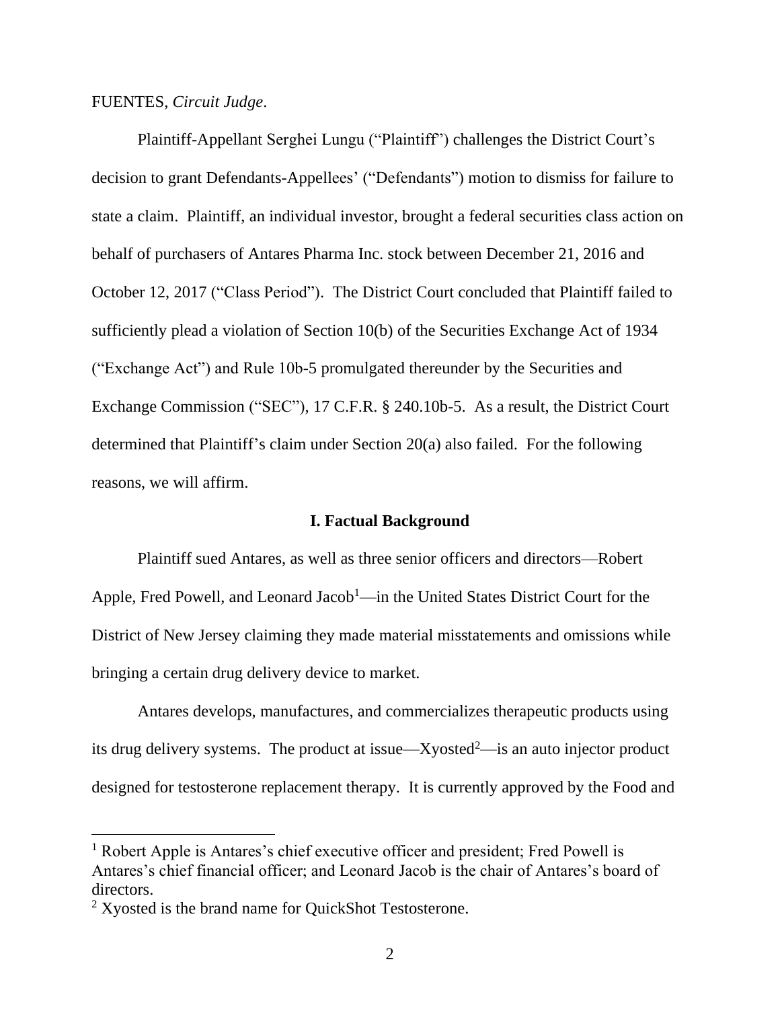FUENTES, *Circuit Judge*.

Plaintiff-Appellant Serghei Lungu ("Plaintiff") challenges the District Court's decision to grant Defendants-Appellees' ("Defendants") motion to dismiss for failure to state a claim. Plaintiff, an individual investor, brought a federal securities class action on behalf of purchasers of Antares Pharma Inc. stock between December 21, 2016 and October 12, 2017 ("Class Period"). The District Court concluded that Plaintiff failed to sufficiently plead a violation of Section 10(b) of the Securities Exchange Act of 1934 ("Exchange Act") and Rule 10b-5 promulgated thereunder by the Securities and Exchange Commission ("SEC"), 17 C.F.R. § 240.10b-5. As a result, the District Court determined that Plaintiff's claim under Section 20(a) also failed. For the following reasons, we will affirm.

#### **I. Factual Background**

Plaintiff sued Antares, as well as three senior officers and directors—Robert Apple, Fred Powell, and Leonard Jacob<sup>1</sup>—in the United States District Court for the District of New Jersey claiming they made material misstatements and omissions while bringing a certain drug delivery device to market.

Antares develops, manufactures, and commercializes therapeutic products using its drug delivery systems. The product at issue—Xyosted<sup>2</sup>—is an auto injector product designed for testosterone replacement therapy. It is currently approved by the Food and

<sup>&</sup>lt;sup>1</sup> Robert Apple is Antares's chief executive officer and president; Fred Powell is Antares's chief financial officer; and Leonard Jacob is the chair of Antares's board of directors.

<sup>2</sup> Xyosted is the brand name for QuickShot Testosterone.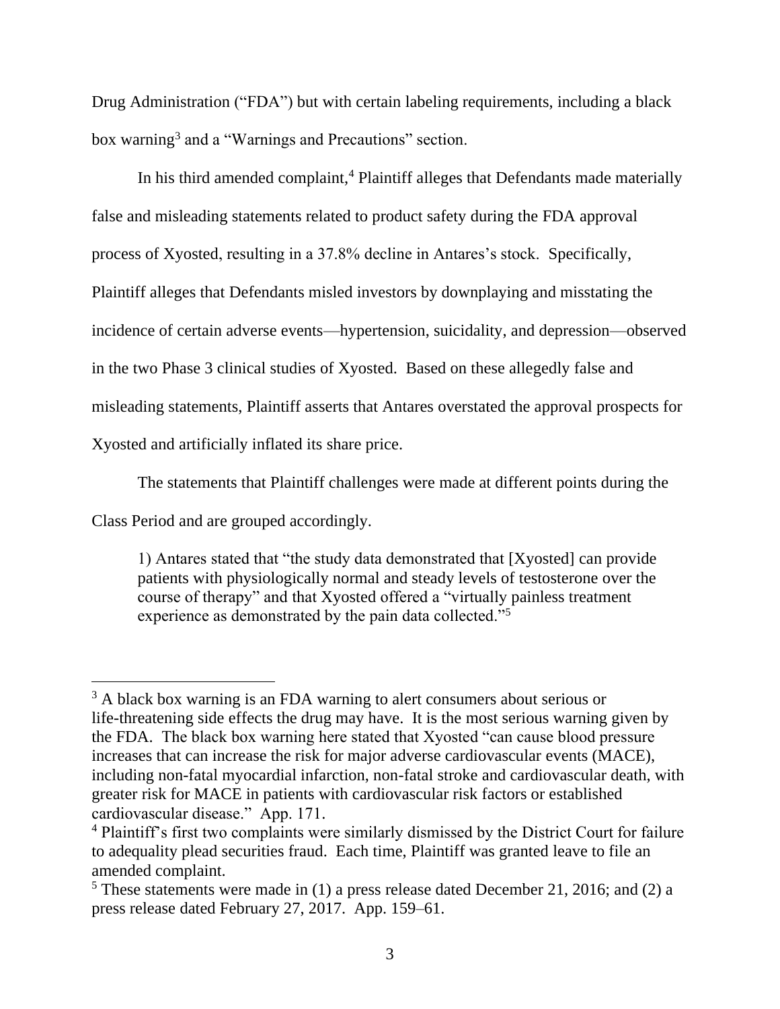Drug Administration ("FDA") but with certain labeling requirements, including a black box warning<sup>3</sup> and a "Warnings and Precautions" section.

In his third amended complaint,<sup>4</sup> Plaintiff alleges that Defendants made materially false and misleading statements related to product safety during the FDA approval process of Xyosted, resulting in a 37.8% decline in Antares's stock. Specifically, Plaintiff alleges that Defendants misled investors by downplaying and misstating the incidence of certain adverse events—hypertension, suicidality, and depression—observed in the two Phase 3 clinical studies of Xyosted. Based on these allegedly false and misleading statements, Plaintiff asserts that Antares overstated the approval prospects for Xyosted and artificially inflated its share price.

The statements that Plaintiff challenges were made at different points during the

Class Period and are grouped accordingly.

1) Antares stated that "the study data demonstrated that [Xyosted] can provide patients with physiologically normal and steady levels of testosterone over the course of therapy" and that Xyosted offered a "virtually painless treatment experience as demonstrated by the pain data collected."<sup>5</sup>

<sup>&</sup>lt;sup>3</sup> A black box warning is an FDA warning to alert consumers about serious or life-threatening side effects the drug may have. It is the most serious warning given by the FDA. The black box warning here stated that Xyosted "can cause blood pressure increases that can increase the risk for major adverse cardiovascular events (MACE), including non-fatal myocardial infarction, non-fatal stroke and cardiovascular death, with greater risk for MACE in patients with cardiovascular risk factors or established cardiovascular disease." App. 171.

<sup>&</sup>lt;sup>4</sup> Plaintiff's first two complaints were similarly dismissed by the District Court for failure to adequality plead securities fraud. Each time, Plaintiff was granted leave to file an amended complaint.

 $5$  These statements were made in (1) a press release dated December 21, 2016; and (2) a press release dated February 27, 2017. App. 159–61.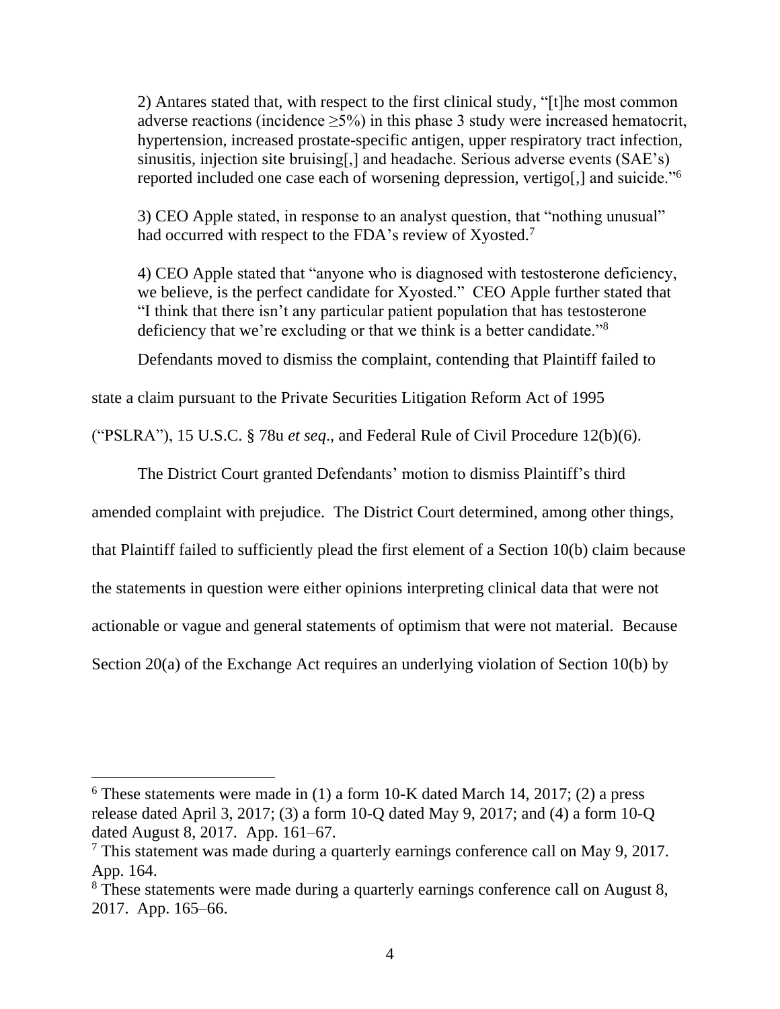2) Antares stated that, with respect to the first clinical study, "[t]he most common adverse reactions (incidence  $\geq$ 5%) in this phase 3 study were increased hematocrit, hypertension, increased prostate-specific antigen, upper respiratory tract infection, sinusitis, injection site bruising[,] and headache. Serious adverse events (SAE's) reported included one case each of worsening depression, vertigo.] and suicide."<sup>6</sup>

3) CEO Apple stated, in response to an analyst question, that "nothing unusual" had occurred with respect to the FDA's review of Xyosted.<sup>7</sup>

4) CEO Apple stated that "anyone who is diagnosed with testosterone deficiency, we believe, is the perfect candidate for Xyosted." CEO Apple further stated that "I think that there isn't any particular patient population that has testosterone deficiency that we're excluding or that we think is a better candidate."<sup>8</sup>

Defendants moved to dismiss the complaint, contending that Plaintiff failed to

state a claim pursuant to the Private Securities Litigation Reform Act of 1995

("PSLRA"), 15 U.S.C. § 78u *et seq*., and Federal Rule of Civil Procedure 12(b)(6).

The District Court granted Defendants' motion to dismiss Plaintiff's third

amended complaint with prejudice. The District Court determined, among other things,

that Plaintiff failed to sufficiently plead the first element of a Section 10(b) claim because

the statements in question were either opinions interpreting clinical data that were not

actionable or vague and general statements of optimism that were not material. Because

Section 20(a) of the Exchange Act requires an underlying violation of Section 10(b) by

 $6$  These statements were made in (1) a form 10-K dated March 14, 2017; (2) a press release dated April 3, 2017; (3) a form 10-Q dated May 9, 2017; and (4) a form 10-Q dated August 8, 2017. App. 161–67.

<sup>7</sup> This statement was made during a quarterly earnings conference call on May 9, 2017. App. 164.

<sup>&</sup>lt;sup>8</sup> These statements were made during a quarterly earnings conference call on August 8, 2017. App. 165–66.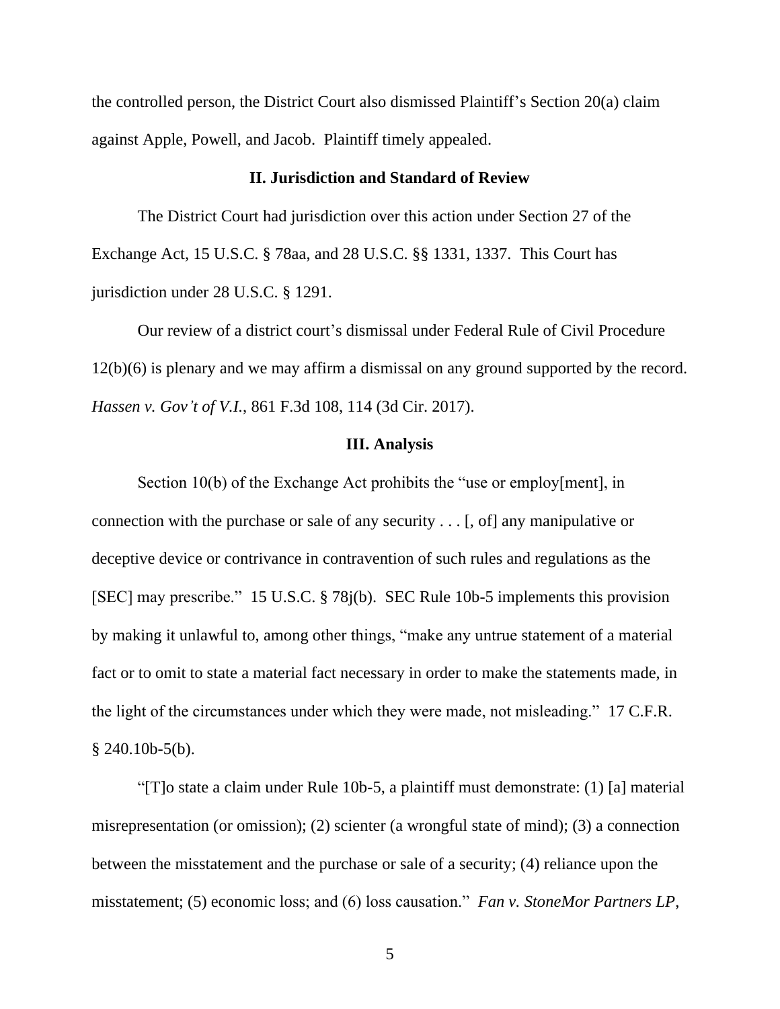the controlled person, the District Court also dismissed Plaintiff's Section 20(a) claim against Apple, Powell, and Jacob. Plaintiff timely appealed.

# **II. Jurisdiction and Standard of Review**

The District Court had jurisdiction over this action under Section 27 of the Exchange Act, 15 U.S.C. § 78aa, and 28 U.S.C. §§ 1331, 1337. This Court has jurisdiction under 28 U.S.C. § 1291.

Our review of a district court's dismissal under Federal Rule of Civil Procedure 12(b)(6) is plenary and we may affirm a dismissal on any ground supported by the record. *Hassen v. Gov't of V.I.*, 861 F.3d 108, 114 (3d Cir. 2017).

#### **III. Analysis**

Section 10(b) of the Exchange Act prohibits the "use or employ[ment], in connection with the purchase or sale of any security . . . [, of] any manipulative or deceptive device or contrivance in contravention of such rules and regulations as the [SEC] may prescribe." 15 U.S.C. § 78j(b). SEC Rule 10b-5 implements this provision by making it unlawful to, among other things, "make any untrue statement of a material fact or to omit to state a material fact necessary in order to make the statements made, in the light of the circumstances under which they were made, not misleading." 17 C.F.R.  $§$  240.10b-5(b).

"[T]o state a claim under Rule 10b-5, a plaintiff must demonstrate: (1) [a] material misrepresentation (or omission); (2) scienter (a wrongful state of mind); (3) a connection between the misstatement and the purchase or sale of a security; (4) reliance upon the misstatement; (5) economic loss; and (6) loss causation." *Fan v. StoneMor Partners LP*,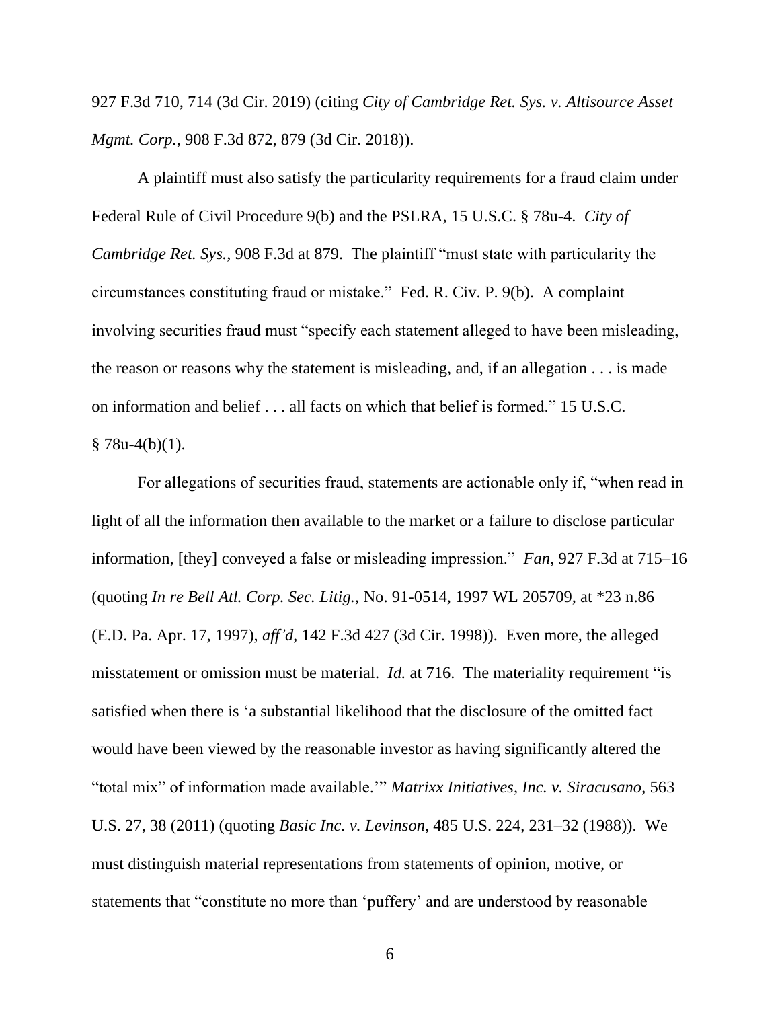927 F.3d 710, 714 (3d Cir. 2019) (citing *City of Cambridge Ret. Sys. v. Altisource Asset Mgmt. Corp.*, 908 F.3d 872, 879 (3d Cir. 2018)).

A plaintiff must also satisfy the particularity requirements for a fraud claim under Federal Rule of Civil Procedure 9(b) and the PSLRA, 15 U.S.C. § 78u-4. *City of Cambridge Ret. Sys.*, 908 F.3d at 879. The plaintiff "must state with particularity the circumstances constituting fraud or mistake." Fed. R. Civ. P. 9(b). A complaint involving securities fraud must "specify each statement alleged to have been misleading, the reason or reasons why the statement is misleading, and, if an allegation . . . is made on information and belief . . . all facts on which that belief is formed." 15 U.S.C.  $§ 78u-4(b)(1).$ 

For allegations of securities fraud, statements are actionable only if, "when read in light of all the information then available to the market or a failure to disclose particular information, [they] conveyed a false or misleading impression." *Fan*, 927 F.3d at 715–16 (quoting *In re Bell Atl. Corp. Sec. Litig.*, No. 91-0514, 1997 WL 205709, at \*23 n.86 (E.D. Pa. Apr. 17, 1997), *aff'd*, 142 F.3d 427 (3d Cir. 1998)). Even more, the alleged misstatement or omission must be material. *Id.* at 716. The materiality requirement "is satisfied when there is 'a substantial likelihood that the disclosure of the omitted fact would have been viewed by the reasonable investor as having significantly altered the "total mix" of information made available.'" *Matrixx Initiatives, Inc. v. Siracusano*, 563 U.S. 27, 38 (2011) (quoting *Basic Inc. v. Levinson*, 485 U.S. 224, 231–32 (1988)). We must distinguish material representations from statements of opinion, motive, or statements that "constitute no more than 'puffery' and are understood by reasonable

6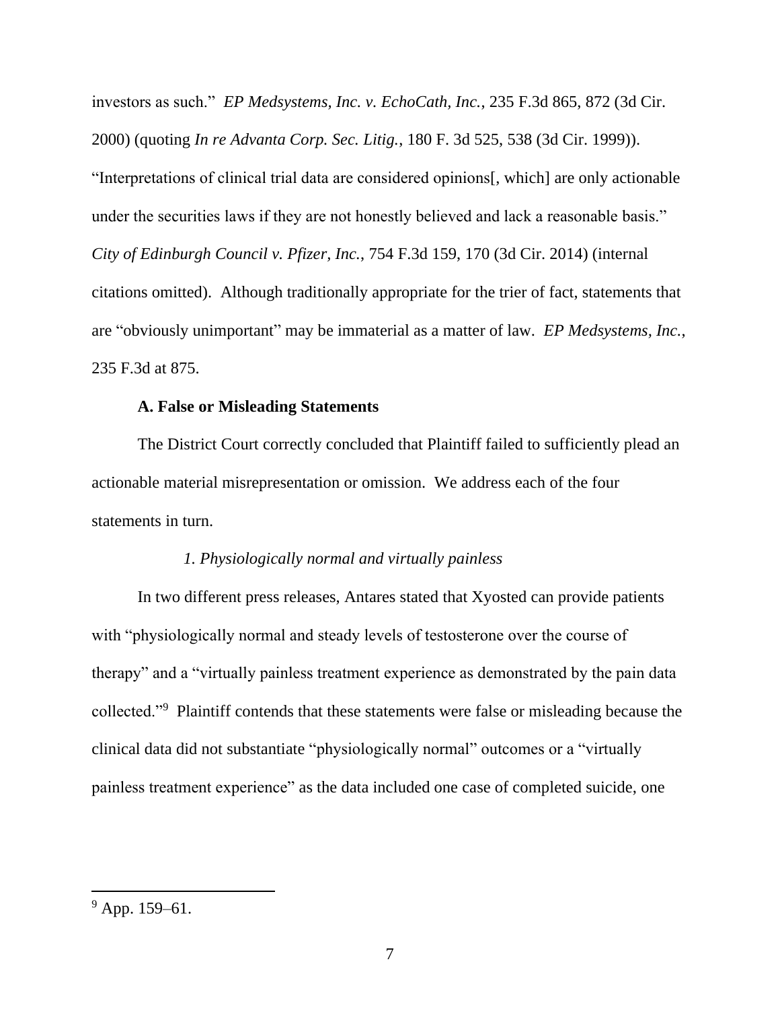investors as such." *EP Medsystems, Inc. v. EchoCath, Inc.*, 235 F.3d 865, 872 (3d Cir. 2000) (quoting *In re Advanta Corp. Sec. Litig.*, 180 F. 3d 525, 538 (3d Cir. 1999)). "Interpretations of clinical trial data are considered opinions[, which] are only actionable under the securities laws if they are not honestly believed and lack a reasonable basis." *City of Edinburgh Council v. Pfizer, Inc.*, 754 F.3d 159, 170 (3d Cir. 2014) (internal citations omitted). Although traditionally appropriate for the trier of fact, statements that are "obviously unimportant" may be immaterial as a matter of law. *EP Medsystems, Inc.*, 235 F.3d at 875.

#### **A. False or Misleading Statements**

The District Court correctly concluded that Plaintiff failed to sufficiently plead an actionable material misrepresentation or omission. We address each of the four statements in turn.

# *1. Physiologically normal and virtually painless*

In two different press releases, Antares stated that Xyosted can provide patients with "physiologically normal and steady levels of testosterone over the course of therapy" and a "virtually painless treatment experience as demonstrated by the pain data collected."<sup>9</sup> Plaintiff contends that these statements were false or misleading because the clinical data did not substantiate "physiologically normal" outcomes or a "virtually painless treatment experience" as the data included one case of completed suicide, one

 $9$  App. 159–61.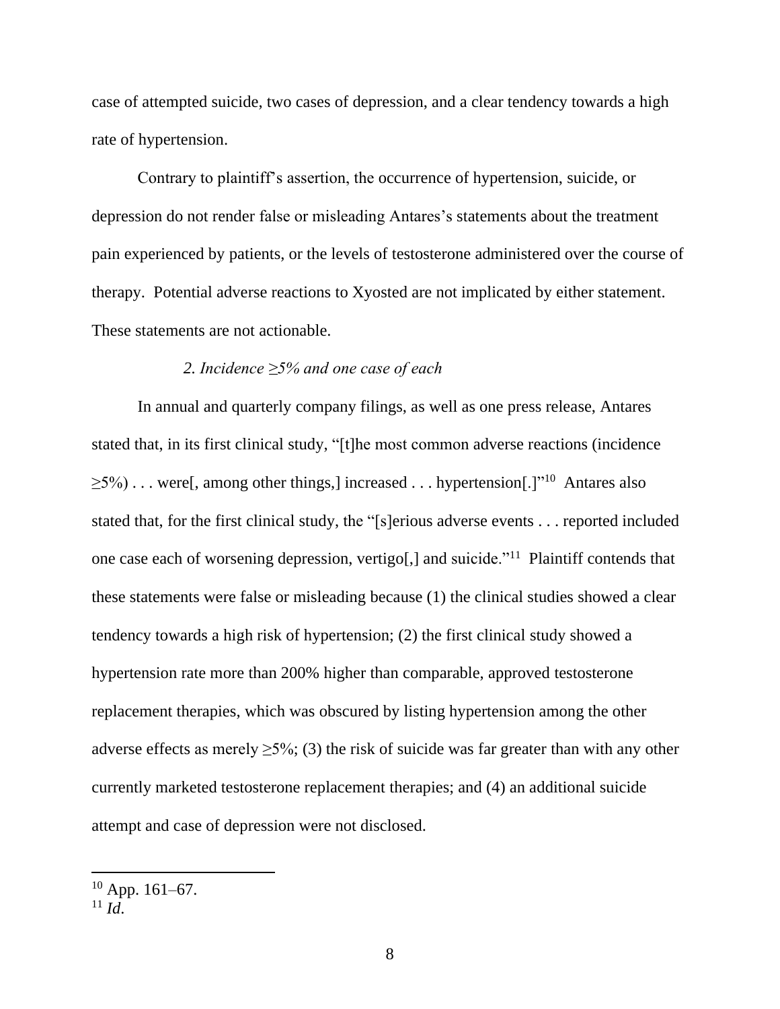case of attempted suicide, two cases of depression, and a clear tendency towards a high rate of hypertension.

Contrary to plaintiff's assertion, the occurrence of hypertension, suicide, or depression do not render false or misleading Antares's statements about the treatment pain experienced by patients, or the levels of testosterone administered over the course of therapy. Potential adverse reactions to Xyosted are not implicated by either statement. These statements are not actionable.

# *2. Incidence ≥5% and one case of each*

In annual and quarterly company filings, as well as one press release, Antares stated that, in its first clinical study, "[t]he most common adverse reactions (incidence  $\geq$ 5%)... were[, among other things,] increased ... hypertension[.]"<sup>10</sup> Antares also stated that, for the first clinical study, the "[s]erious adverse events . . . reported included one case each of worsening depression, vertigo[,] and suicide."<sup>11</sup> Plaintiff contends that these statements were false or misleading because (1) the clinical studies showed a clear tendency towards a high risk of hypertension; (2) the first clinical study showed a hypertension rate more than 200% higher than comparable, approved testosterone replacement therapies, which was obscured by listing hypertension among the other adverse effects as merely  $\geq 5\%$ ; (3) the risk of suicide was far greater than with any other currently marketed testosterone replacement therapies; and (4) an additional suicide attempt and case of depression were not disclosed.

 $10$  App. 161–67.

 $^{11}$  *Id*.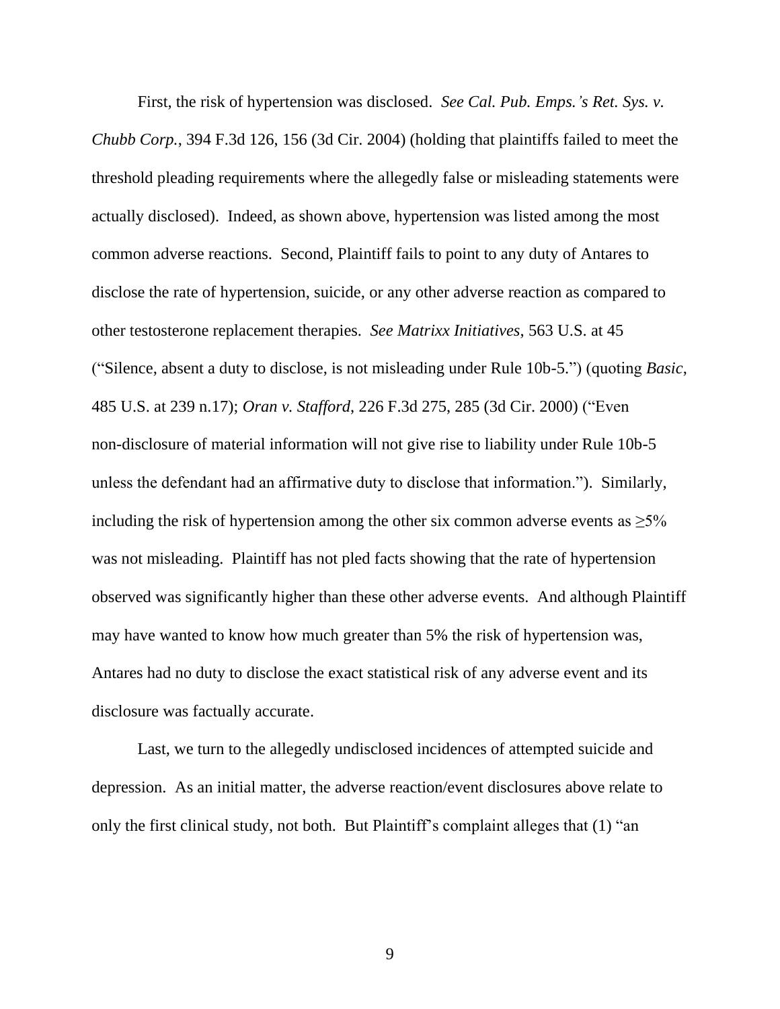First, the risk of hypertension was disclosed. *See Cal. Pub. Emps.'s Ret. Sys. v. Chubb Corp.*, 394 F.3d 126, 156 (3d Cir. 2004) (holding that plaintiffs failed to meet the threshold pleading requirements where the allegedly false or misleading statements were actually disclosed). Indeed, as shown above, hypertension was listed among the most common adverse reactions. Second, Plaintiff fails to point to any duty of Antares to disclose the rate of hypertension, suicide, or any other adverse reaction as compared to other testosterone replacement therapies. *See Matrixx Initiatives*, 563 U.S. at 45 ("Silence, absent a duty to disclose, is not misleading under Rule 10b-5.") (quoting *Basic*, 485 U.S. at 239 n.17); *Oran v. Stafford*, 226 F.3d 275, 285 (3d Cir. 2000) ("Even non-disclosure of material information will not give rise to liability under Rule 10b-5 unless the defendant had an affirmative duty to disclose that information."). Similarly, including the risk of hypertension among the other six common adverse events as  $\geq 5\%$ was not misleading. Plaintiff has not pled facts showing that the rate of hypertension observed was significantly higher than these other adverse events. And although Plaintiff may have wanted to know how much greater than 5% the risk of hypertension was, Antares had no duty to disclose the exact statistical risk of any adverse event and its disclosure was factually accurate.

Last, we turn to the allegedly undisclosed incidences of attempted suicide and depression. As an initial matter, the adverse reaction/event disclosures above relate to only the first clinical study, not both. But Plaintiff's complaint alleges that (1) "an

9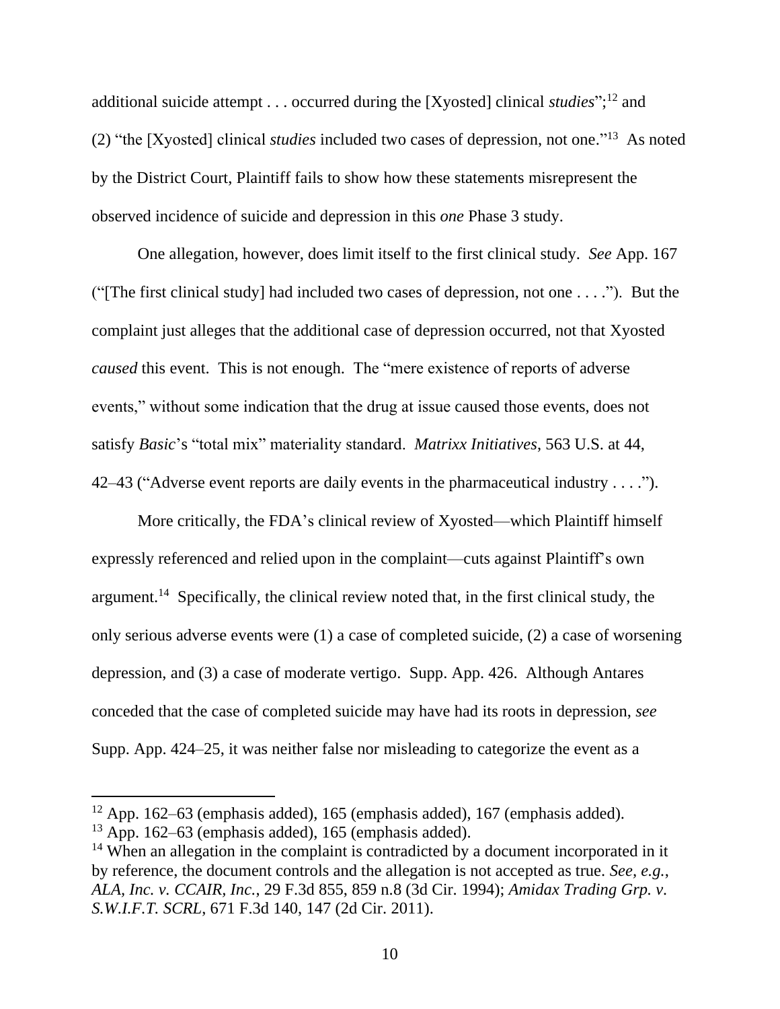additional suicide attempt . . . occurred during the [Xyosted] clinical *studies*";<sup>12</sup> and (2) "the [Xyosted] clinical *studies* included two cases of depression, not one." 13 As noted by the District Court, Plaintiff fails to show how these statements misrepresent the observed incidence of suicide and depression in this *one* Phase 3 study.

One allegation, however, does limit itself to the first clinical study. *See* App. 167 ("[The first clinical study] had included two cases of depression, not one . . . ."). But the complaint just alleges that the additional case of depression occurred, not that Xyosted *caused* this event. This is not enough. The "mere existence of reports of adverse events," without some indication that the drug at issue caused those events, does not satisfy *[Basic](https://1.next.westlaw.com/Link/Document/FullText?findType=Y&serNum=1988031229&originatingDoc=I27252aa0298011e88202f11efd70eed2&refType=RP&originationContext=document&transitionType=DocumentItem&ppcid=4fb3cf9f03f142f6b80e605beb16eb43&contextData=(sc.Search))*'s "total mix" materiality standard. *[Matrixx Initiatives](https://1.next.westlaw.com/Link/Document/FullText?findType=Y&serNum=2024826834&pubNum=0000708&originatingDoc=I27252aa0298011e88202f11efd70eed2&refType=RP&fi=co_pp_sp_708_1321&originationContext=document&transitionType=DocumentItem&ppcid=4fb3cf9f03f142f6b80e605beb16eb43&contextData=(sc.Search)#co_pp_sp_708_1321)*, 563 U.S. at 44, [42–](https://1.next.westlaw.com/Link/Document/FullText?findType=Y&serNum=2024826834&pubNum=0000708&originatingDoc=I27252aa0298011e88202f11efd70eed2&refType=RP&fi=co_pp_sp_708_1321&originationContext=document&transitionType=DocumentItem&ppcid=4fb3cf9f03f142f6b80e605beb16eb43&contextData=(sc.Search)#co_pp_sp_708_1321)43 ("Adverse event reports are daily events in the pharmaceutical industry . . . .").

More critically, the FDA's clinical review of Xyosted—which Plaintiff himself expressly referenced and relied upon in the complaint—cuts against Plaintiff's own argument.<sup>14</sup> Specifically, the clinical review noted that, in the first clinical study, the only serious adverse events were (1) a case of completed suicide, (2) a case of worsening depression, and (3) a case of moderate vertigo. Supp. App. 426. Although Antares conceded that the case of completed suicide may have had its roots in depression, *see* Supp. App. 424–25, it was neither false nor misleading to categorize the event as a

 $12$  App. 162–63 (emphasis added), 165 (emphasis added), 167 (emphasis added).

 $13$  App. 162–63 (emphasis added), 165 (emphasis added).

<sup>&</sup>lt;sup>14</sup> When an allegation in the complaint is contradicted by a document incorporated in it by reference, the document controls and the allegation is not accepted as true. *See, e.g.*, *ALA, Inc. v. CCAIR, Inc.*, 29 F.3d 855, 859 n.8 (3d Cir. 1994); *Amidax Trading Grp. v. S.W.I.F.T. SCRL*, 671 F.3d 140, 147 (2d Cir. 2011).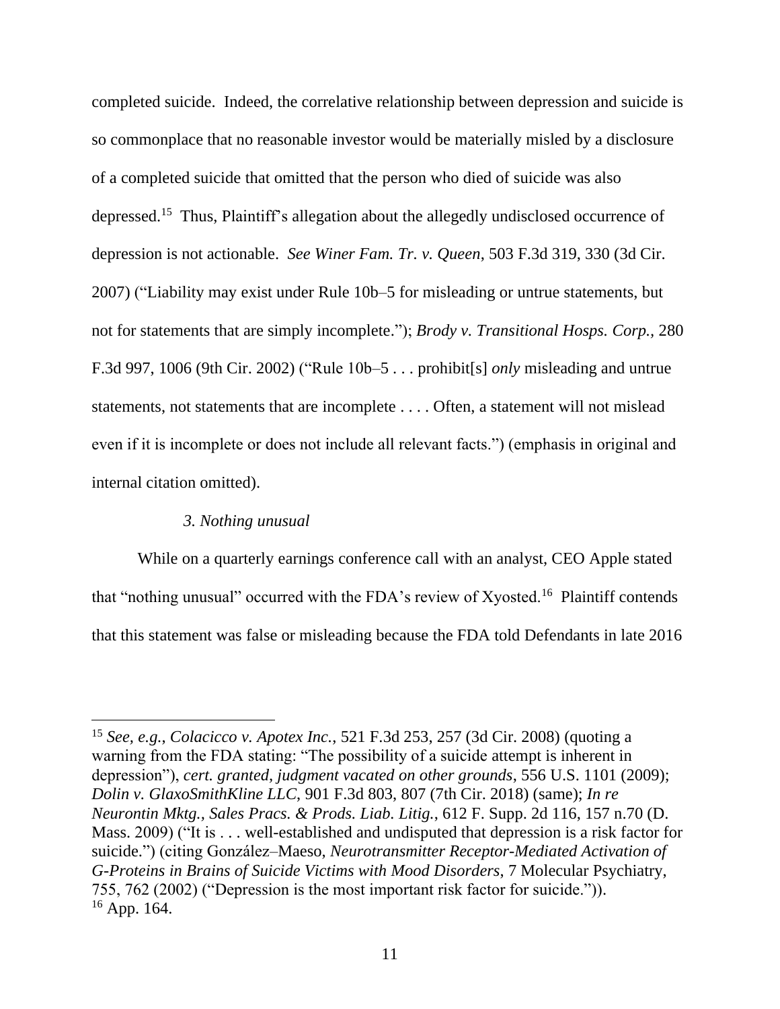completed suicide. Indeed, the correlative relationship between depression and suicide is so commonplace that no reasonable investor would be materially misled by a disclosure of a completed suicide that omitted that the person who died of suicide was also depressed.<sup>15</sup> Thus, Plaintiff's allegation about the allegedly undisclosed occurrence of depression is not actionable. *See Winer Fam. Tr. v. Queen*, 503 F.3d 319, 330 (3d Cir. 2007) ("Liability may exist under Rule 10b–5 for misleading or untrue statements, but not for statements that are simply incomplete."); *Brody v. Transitional Hosps. Corp.,* 280 F.3d 997, 1006 (9th Cir. 2002) ("Rule 10b–5 . . . prohibit[s] *only* misleading and untrue statements, not statements that are incomplete . . . . Often, a statement will not mislead even if it is incomplete or does not include all relevant facts.") (emphasis in original and internal citation omitted).

## *3. Nothing unusual*

While on a quarterly earnings conference call with an analyst, CEO Apple stated that "nothing unusual" occurred with the FDA's review of Xyosted.<sup>16</sup> Plaintiff contends that this statement was false or misleading because the FDA told Defendants in late 2016

<sup>15</sup> *See, e.g.*, *Colacicco v. Apotex Inc.*, 521 F.3d 253, 257 (3d Cir. 2008) (quoting a warning from the FDA stating: "The possibility of a suicide attempt is inherent in depression"), *cert. granted, judgment vacated on other grounds*, 556 U.S. 1101 (2009); *Dolin v. GlaxoSmithKline LLC*, 901 F.3d 803, 807 (7th Cir. 2018) (same); *In re Neurontin Mktg., Sales Pracs. & Prods. Liab. Litig.*, 612 F. Supp. 2d 116, 157 n.70 (D. Mass. 2009) ("It is . . . well-established and undisputed that depression is a risk factor for suicide.") (citing González–Maeso, *Neurotransmitter Receptor-Mediated Activation of G-Proteins in Brains of Suicide Victims with Mood Disorders*, 7 Molecular Psychiatry, 755, 762 (2002) ("Depression is the most important risk factor for suicide.")).  $16$  App. 164.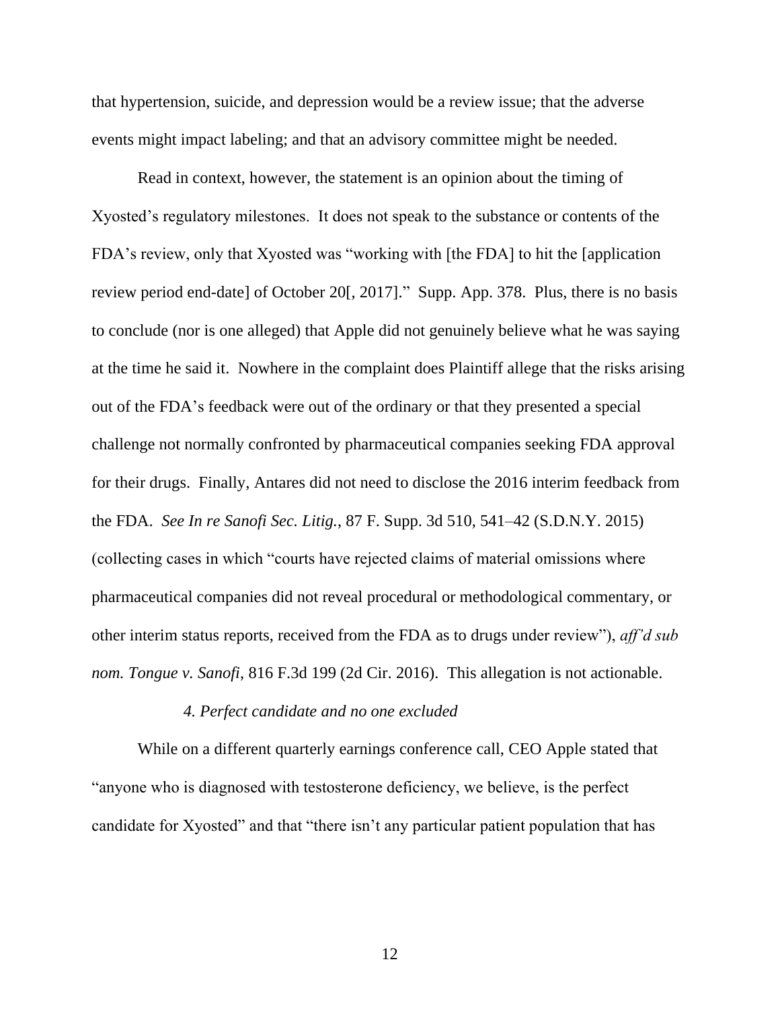that hypertension, suicide, and depression would be a review issue; that the adverse events might impact labeling; and that an advisory committee might be needed.

Read in context, however, the statement is an opinion about the timing of Xyosted's regulatory milestones. It does not speak to the substance or contents of the FDA's review, only that Xyosted was "working with [the FDA] to hit the [application review period end-date] of October 20[, 2017]." Supp. App. 378. Plus, there is no basis to conclude (nor is one alleged) that Apple did not genuinely believe what he was saying at the time he said it. Nowhere in the complaint does Plaintiff allege that the risks arising out of the FDA's feedback were out of the ordinary or that they presented a special challenge not normally confronted by pharmaceutical companies seeking FDA approval for their drugs. Finally, Antares did not need to disclose the 2016 interim feedback from the FDA. *See In re Sanofi Sec. Litig.*, 87 F. Supp. 3d 510, 541–42 (S.D.N.Y. 2015) (collecting cases in which "courts have rejected claims of material omissions where pharmaceutical companies did not reveal procedural or methodological commentary, or other interim status reports, received from the FDA as to drugs under review"), *aff'd sub nom. Tongue v. Sanofi*, 816 F.3d 199 (2d Cir. 2016). This allegation is not actionable.

#### *4. Perfect candidate and no one excluded*

While on a different quarterly earnings conference call, CEO Apple stated that "anyone who is diagnosed with testosterone deficiency, we believe, is the perfect candidate for Xyosted" and that "there isn't any particular patient population that has

12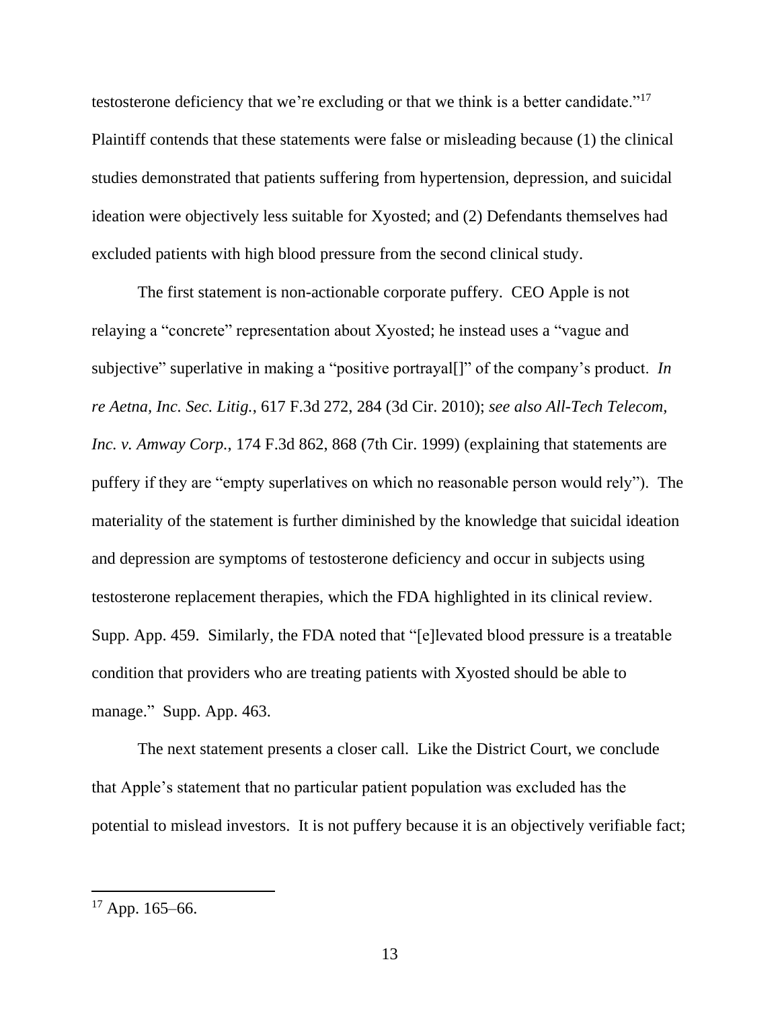testosterone deficiency that we're excluding or that we think is a better candidate."<sup>17</sup> Plaintiff contends that these statements were false or misleading because (1) the clinical studies demonstrated that patients suffering from hypertension, depression, and suicidal ideation were objectively less suitable for Xyosted; and (2) Defendants themselves had excluded patients with high blood pressure from the second clinical study.

The first statement is non-actionable corporate puffery. CEO Apple is not relaying a "concrete" representation about Xyosted; he instead uses a "vague and subjective" superlative in making a "positive portrayal[]" of the company's product. *In re Aetna, Inc. Sec. Litig.*, 617 F.3d 272, 284 (3d Cir. 2010); *see also All-Tech Telecom, Inc. v. Amway Corp.*, 174 F.3d 862, 868 (7th Cir. 1999) (explaining that statements are puffery if they are "empty superlatives on which no reasonable person would rely"). The materiality of the statement is further diminished by the knowledge that suicidal ideation and depression are symptoms of testosterone deficiency and occur in subjects using testosterone replacement therapies, which the FDA highlighted in its clinical review. Supp. App. 459. Similarly, the FDA noted that "[e]levated blood pressure is a treatable condition that providers who are treating patients with Xyosted should be able to manage." Supp. App. 463.

The next statement presents a closer call. Like the District Court, we conclude that Apple's statement that no particular patient population was excluded has the potential to mislead investors. It is not puffery because it is an objectively verifiable fact;

 $17$  App. 165–66.